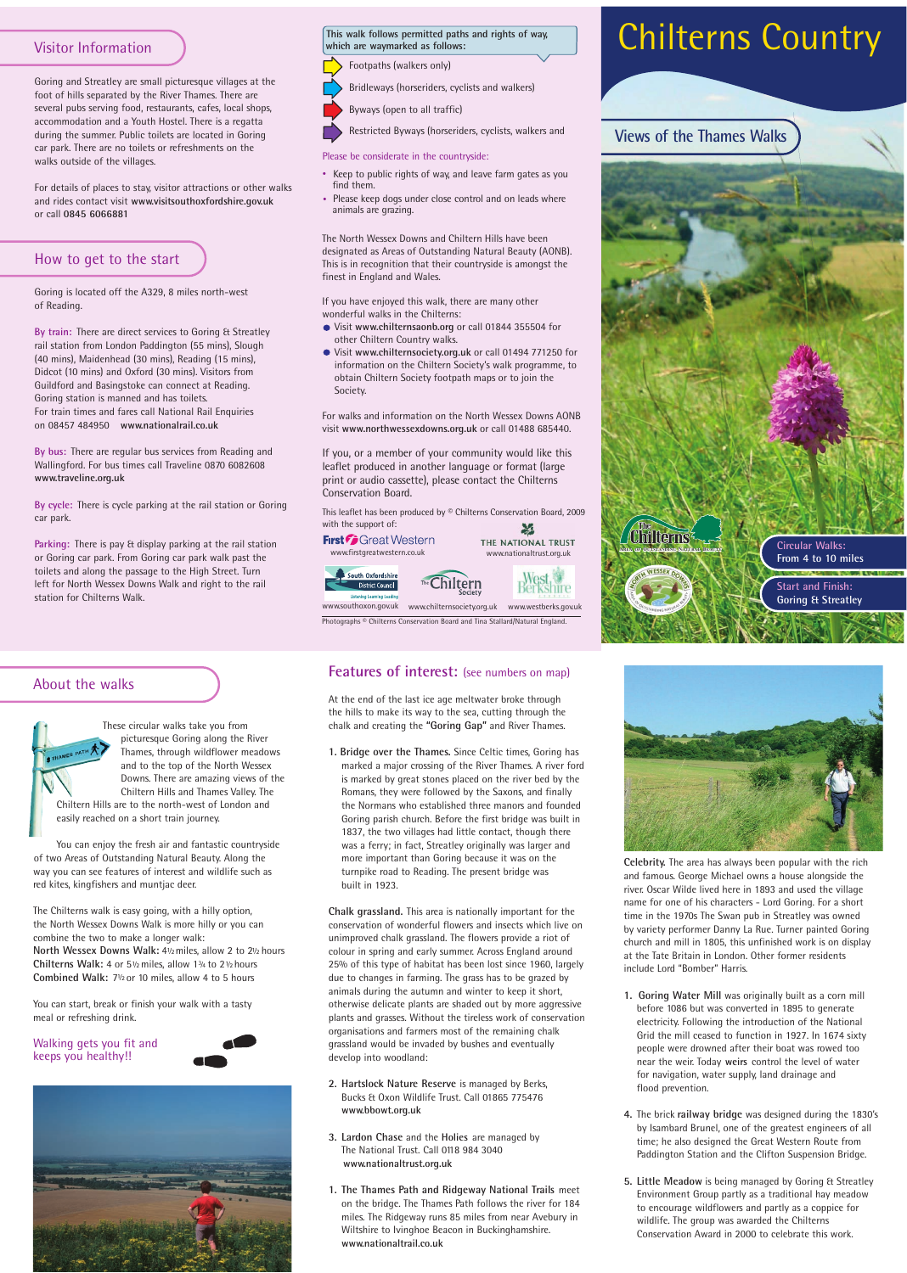## Visitor Information

Goring and Streatley are small picturesque villages at the foot of hills separated by the River Thames. There are several pubs serving food, restaurants, cafes, local shops, accommodation and a Youth Hostel. There is a regatta during the summer. Public toilets are located in Goring car park. There are no toilets or refreshments on the walks outside of the villages.

For details of places to stay, visitor attractions or other walks and rides contact visit **www.visitsouthoxfordshire.gov.uk** or call **0845 6066881**

## How to get to the start

Goring is located off the A329, 8 miles north-west of Reading.

Parking: There is pay & display parking at the rail station or Goring car park. From Goring car park walk past the toilets and along the passage to the High Street. Turn left for North Wessex Downs Walk and right to the rail station for Chilterns Walk.

**By train:** There are direct services to Goring & Streatley rail station from London Paddington (55 mins), Slough (40 mins), Maidenhead (30 mins), Reading (15 mins), Didcot (10 mins) and Oxford (30 mins). Visitors from Guildford and Basingstoke can connect at Reading. Goring station is manned and has toilets. For train times and fares call National Rail Enquiries on 08457 484950 **www.nationalrail.co.uk** 

> This leaflet has been produced by © Chilterns Conservation Board, 2009 with the support of: ¥

**First Great Western** 



THE NATIONAL TRUST www.firstgreatwestern.co.uk www.nationaltrust.org.uk

hīre

**By bus:** There are regular bus services from Reading and Wallingford. For bus times call Traveline 0870 6082608 **www.traveline.org.uk** 

**By cycle:** There is cycle parking at the rail station or Goring car park.

# Chilterns Country



#### Please be considerate in the countryside:

- Keep to public rights of way, and leave farm gates as you find them.
- Please keep dogs under close control and on leads where animals are grazing.

If you, or a member of your community would like this leaflet produced in another language or format (large print or audio cassette), please contact the Chilterns Conservation Board.



**Celebrity.** The area has always been popular with the rich and famous. George Michael owns a house alongside the river. Oscar Wilde lived here in 1893 and used the village name for one of his characters - Lord Goring. For a short time in the 1970s The Swan pub in Streatley was owned by variety performer Danny La Rue. Turner painted Goring church and mill in 1805, this unfinished work is on display

at the Tate Britain in London. Other former residents include Lord "Bomber" Harris.

The Chilterns walk is easy going, with a hilly option, the North Wessex Downs Walk is more hilly or you can combine the two to make a longer walk: North Wessex Downs Walk: 41/2 miles, allow 2 to 21/2 hours Chilterns Walk: 4 or  $5\frac{1}{2}$  miles, allow  $1\frac{3}{4}$  to  $2\frac{1}{2}$  hours Combined Walk: 7<sup>1</sup>/<sub>2</sub> or 10 miles, allow 4 to 5 hours

## **Features of interest:** (see numbers on map)

- **1. Goring Water Mill** was originally built as a corn mill before 1086 but was converted in 1895 to generate electricity. Following the introduction of the National Grid the mill ceased to function in 1927. In 1674 sixty people were drowned after their boat was rowed too near the weir. Today **weirs** control the level of water for navigation, water supply, land drainage and flood prevention.
- **4.** The brick **railway bridge** was designed during the 1830's by Isambard Brunel, one of the greatest engineers of all time; he also designed the Great Western Route from Paddington Station and the Clifton Suspension Bridge.
- **5. Little Meadow** is being managed by Goring & Streatley Environment Group partly as a traditional hay meadow to encourage wildflowers and partly as a coppice for wildlife. The group was awarded the Chilterns Conservation Award in 2000 to celebrate this work.

At the end of the last ice age meltwater broke through the hills to make its way to the sea, cutting through the chalk and creating the **"Goring Gap"** and River Thames.

**1. Bridge over the Thames.** Since Celtic times, Goring has marked a major crossing of the River Thames. A river ford is marked by great stones placed on the river bed by the Romans, they were followed by the Saxons, and finally the Normans who established three manors and founded Goring parish church. Before the first bridge was built in 1837, the two villages had little contact, though there was a ferry; in fact, Streatley originally was larger and more important than Goring because it was on the turnpike road to Reading. The present bridge was built in 1923.

**Chalk grassland.** This area is nationally important for the conservation of wonderful flowers and insects which live on unimproved chalk grassland. The flowers provide a riot of colour in spring and early summer. Across England around 25% of this type of habitat has been lost since 1960, largely due to changes in farming. The grass has to be grazed by animals during the autumn and winter to keep it short, otherwise delicate plants are shaded out by more aggressive plants and grasses. Without the tireless work of conservation organisations and farmers most of the remaining chalk grassland would be invaded by bushes and eventually develop into woodland:

- **2. Hartslock Nature Reserve** is managed by Berks, Bucks & Oxon Wildlife Trust. Call 01865 775476 **www.bbowt.org.uk**
- **3. Lardon Chase** and the **Holies** are managed by The National Trust. Call 0118 984 3040 **www.nationaltrust.org.uk**
- **1. The Thames Path and Ridgeway National Trails** meet on the bridge. The Thames Path follows the river for 184 miles. The Ridgeway runs 85 miles from near Avebury in Wiltshire to Ivinghoe Beacon in Buckinghamshire. **www.nationaltrail.co.uk**

# About the walks



These circular walks take you from picturesque Goring along the River Thames, through wildflower meadows and to the top of the North Wessex Downs. There are amazing views of the Chiltern Hills and Thames Valley. The Chiltern Hills are to the north-west of London and easily reached on a short train journey.

You can enjoy the fresh air and fantastic countryside of two Areas of Outstanding Natural Beauty. Along the way you can see features of interest and wildlife such as red kites, kingfishers and muntjac deer.

You can start, break or finish your walk with a tasty meal or refreshing drink.

Walking gets you fit and keeps you healthy!!





Photographs © Chilterns Conservation Board and Tina Stallard/Natural England.





### **This walk follows permitted paths and rights of way, which are waymarked as follows:**

Footpaths (walkers only)

Bridleways (horseriders, cyclists and walkers)



Restricted Byways (horseriders, cyclists, walkers and

The North Wessex Downs and Chiltern Hills have been designated as Areas of Outstanding Natural Beauty (AONB). This is in recognition that their countryside is amongst the finest in England and Wales.

If you have enjoyed this walk, there are many other wonderful walks in the Chilterns:

- Visit **www.chilternsaonb.org** or call 01844 355504 for other Chiltern Country walks.
- Visit **www.chilternsociety.org.uk** or call 01494 771250 for information on the Chiltern Society's walk programme, to obtain Chiltern Society footpath maps or to join the Society.

For walks and information on the North Wessex Downs AONB visit **www.northwessexdowns.org.uk** or call 01488 685440.